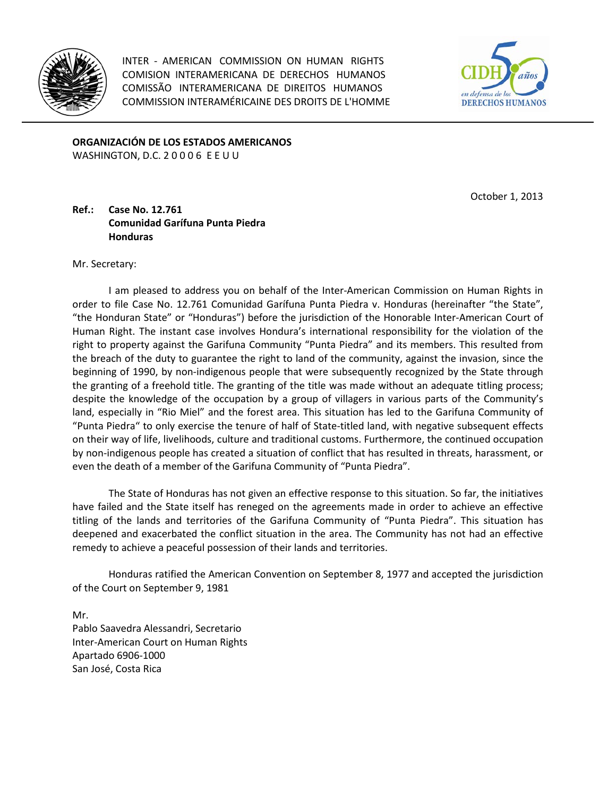

INTER - AMERICAN COMMISSION ON HUMAN RIGHTS COMISION INTERAMERICANA DE DERECHOS HUMANOS COMISSÃO INTERAMERICANA DE DIREITOS HUMANOS COMMISSION INTERAMÉRICAINE DES DROITS DE L'HOMME



**ORGANIZACIÓN DE LOS ESTADOS AMERICANOS** WASHINGTON, D.C. 20006 EEUU

October 1, 2013

## **Ref.: Case No. 12.761 Comunidad Garífuna Punta Piedra Honduras**

Mr. Secretary:

I am pleased to address you on behalf of the Inter-American Commission on Human Rights in order to file Case No. 12.761 Comunidad Garífuna Punta Piedra v. Honduras (hereinafter "the State", "the Honduran State" or "Honduras") before the jurisdiction of the Honorable Inter-American Court of Human Right. The instant case involves Hondura's international responsibility for the violation of the right to property against the Garifuna Community "Punta Piedra" and its members. This resulted from the breach of the duty to guarantee the right to land of the community, against the invasion, since the beginning of 1990, by non-indigenous people that were subsequently recognized by the State through the granting of a freehold title. The granting of the title was made without an adequate titling process; despite the knowledge of the occupation by a group of villagers in various parts of the Community's land, especially in "Rio Miel" and the forest area. This situation has led to the Garifuna Community of "Punta Piedra" to only exercise the tenure of half of State-titled land, with negative subsequent effects on their way of life, livelihoods, culture and traditional customs. Furthermore, the continued occupation by non-indigenous people has created a situation of conflict that has resulted in threats, harassment, or even the death of a member of the Garifuna Community of "Punta Piedra".

The State of Honduras has not given an effective response to this situation. So far, the initiatives have failed and the State itself has reneged on the agreements made in order to achieve an effective titling of the lands and territories of the Garifuna Community of "Punta Piedra". This situation has deepened and exacerbated the conflict situation in the area. The Community has not had an effective remedy to achieve a peaceful possession of their lands and territories.

Honduras ratified the American Convention on September 8, 1977 and accepted the jurisdiction of the Court on September 9, 1981

Mr. Pablo Saavedra Alessandri, Secretario Inter-American Court on Human Rights Apartado 6906-1000 San José, Costa Rica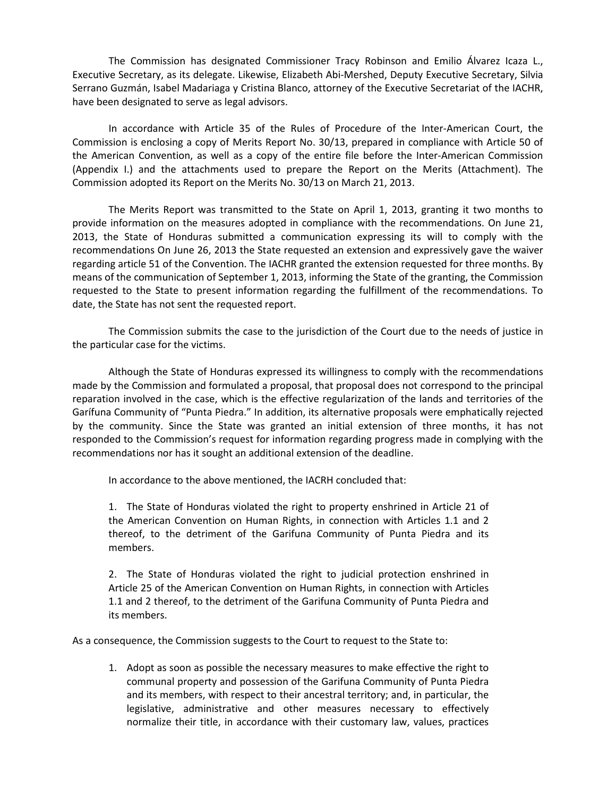The Commission has designated Commissioner Tracy Robinson and Emilio Álvarez Icaza L., Executive Secretary, as its delegate. Likewise, Elizabeth Abi-Mershed, Deputy Executive Secretary, Silvia Serrano Guzmán, Isabel Madariaga y Cristina Blanco, attorney of the Executive Secretariat of the IACHR, have been designated to serve as legal advisors.

In accordance with Article 35 of the Rules of Procedure of the Inter-American Court, the Commission is enclosing a copy of Merits Report No. 30/13, prepared in compliance with Article 50 of the American Convention, as well as a copy of the entire file before the Inter-American Commission (Appendix I.) and the attachments used to prepare the Report on the Merits (Attachment). The Commission adopted its Report on the Merits No. 30/13 on March 21, 2013.

The Merits Report was transmitted to the State on April 1, 2013, granting it two months to provide information on the measures adopted in compliance with the recommendations. On June 21, 2013, the State of Honduras submitted a communication expressing its will to comply with the recommendations On June 26, 2013 the State requested an extension and expressively gave the waiver regarding article 51 of the Convention. The IACHR granted the extension requested for three months. By means of the communication of September 1, 2013, informing the State of the granting, the Commission requested to the State to present information regarding the fulfillment of the recommendations. To date, the State has not sent the requested report.

The Commission submits the case to the jurisdiction of the Court due to the needs of justice in the particular case for the victims.

Although the State of Honduras expressed its willingness to comply with the recommendations made by the Commission and formulated a proposal, that proposal does not correspond to the principal reparation involved in the case, which is the effective regularization of the lands and territories of the Garífuna Community of "Punta Piedra." In addition, its alternative proposals were emphatically rejected by the community. Since the State was granted an initial extension of three months, it has not responded to the Commission's request for information regarding progress made in complying with the recommendations nor has it sought an additional extension of the deadline.

In accordance to the above mentioned, the IACRH concluded that:

1. The State of Honduras violated the right to property enshrined in Article 21 of the American Convention on Human Rights, in connection with Articles 1.1 and 2 thereof, to the detriment of the Garifuna Community of Punta Piedra and its members.

2. The State of Honduras violated the right to judicial protection enshrined in Article 25 of the American Convention on Human Rights, in connection with Articles 1.1 and 2 thereof, to the detriment of the Garifuna Community of Punta Piedra and its members.

As a consequence, the Commission suggests to the Court to request to the State to:

1. Adopt as soon as possible the necessary measures to make effective the right to communal property and possession of the Garifuna Community of Punta Piedra and its members, with respect to their ancestral territory; and, in particular, the legislative, administrative and other measures necessary to effectively normalize their title, in accordance with their customary law, values, practices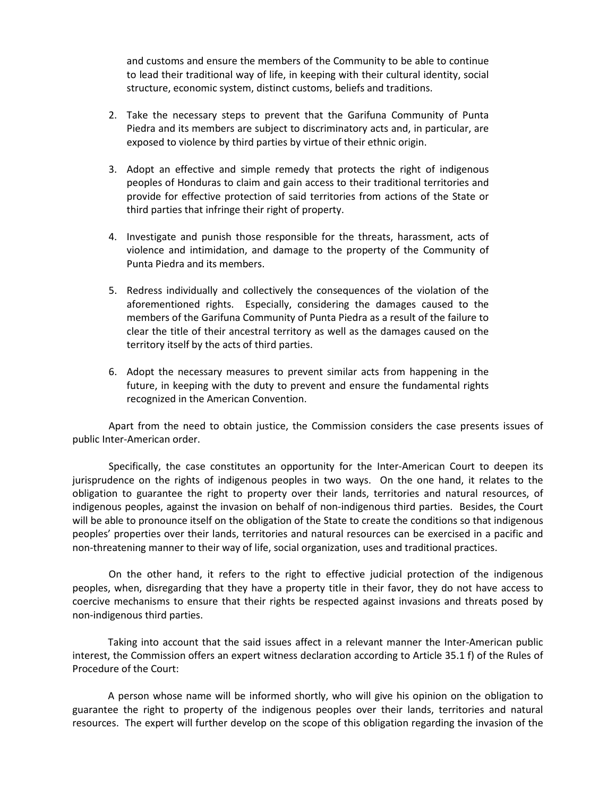and customs and ensure the members of the Community to be able to continue to lead their traditional way of life, in keeping with their cultural identity, social structure, economic system, distinct customs, beliefs and traditions.

- 2. Take the necessary steps to prevent that the Garifuna Community of Punta Piedra and its members are subject to discriminatory acts and, in particular, are exposed to violence by third parties by virtue of their ethnic origin.
- 3. Adopt an effective and simple remedy that protects the right of indigenous peoples of Honduras to claim and gain access to their traditional territories and provide for effective protection of said territories from actions of the State or third parties that infringe their right of property.
- 4. Investigate and punish those responsible for the threats, harassment, acts of violence and intimidation, and damage to the property of the Community of Punta Piedra and its members.
- 5. Redress individually and collectively the consequences of the violation of the aforementioned rights. Especially, considering the damages caused to the members of the Garifuna Community of Punta Piedra as a result of the failure to clear the title of their ancestral territory as well as the damages caused on the territory itself by the acts of third parties.
- 6. Adopt the necessary measures to prevent similar acts from happening in the future, in keeping with the duty to prevent and ensure the fundamental rights recognized in the American Convention.

Apart from the need to obtain justice, the Commission considers the case presents issues of public Inter-American order.

Specifically, the case constitutes an opportunity for the Inter-American Court to deepen its jurisprudence on the rights of indigenous peoples in two ways. On the one hand, it relates to the obligation to guarantee the right to property over their lands, territories and natural resources, of indigenous peoples, against the invasion on behalf of non-indigenous third parties. Besides, the Court will be able to pronounce itself on the obligation of the State to create the conditions so that indigenous peoples' properties over their lands, territories and natural resources can be exercised in a pacific and non-threatening manner to their way of life, social organization, uses and traditional practices.

On the other hand, it refers to the right to effective judicial protection of the indigenous peoples, when, disregarding that they have a property title in their favor, they do not have access to coercive mechanisms to ensure that their rights be respected against invasions and threats posed by non-indigenous third parties.

Taking into account that the said issues affect in a relevant manner the Inter-American public interest, the Commission offers an expert witness declaration according to Article 35.1 f) of the Rules of Procedure of the Court:

A person whose name will be informed shortly, who will give his opinion on the obligation to guarantee the right to property of the indigenous peoples over their lands, territories and natural resources. The expert will further develop on the scope of this obligation regarding the invasion of the